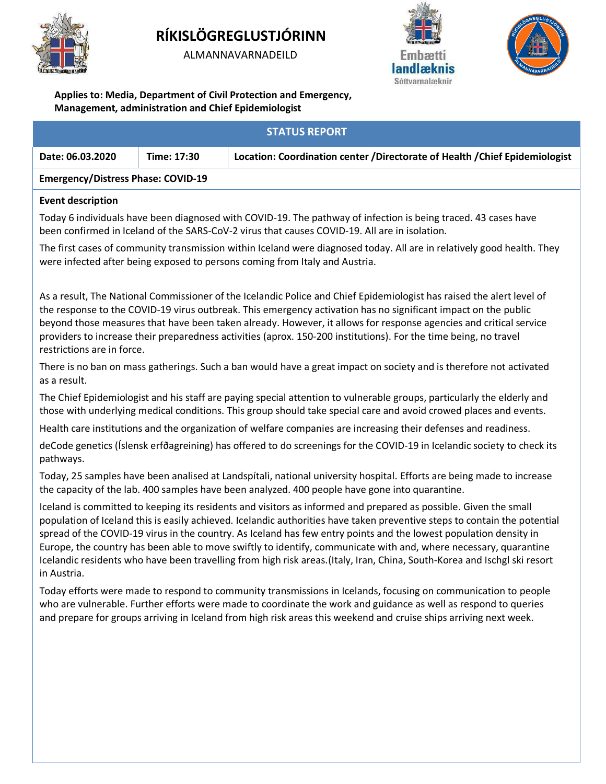

# **RÍKISLÖGREGLUSTJÓRINN**

ALMANNAVARNADEILD





**Applies to: Media, Department of Civil Protection and Emergency, Management, administration and Chief Epidemiologist**

|                                           |             | <b>STATUS REPORT</b>                                                                                                                                                                                                                                                                                                                                                                                                                                                                                                                                                                                                |
|-------------------------------------------|-------------|---------------------------------------------------------------------------------------------------------------------------------------------------------------------------------------------------------------------------------------------------------------------------------------------------------------------------------------------------------------------------------------------------------------------------------------------------------------------------------------------------------------------------------------------------------------------------------------------------------------------|
| Date: 06.03.2020                          | Time: 17:30 | Location: Coordination center / Directorate of Health / Chief Epidemiologist                                                                                                                                                                                                                                                                                                                                                                                                                                                                                                                                        |
| <b>Emergency/Distress Phase: COVID-19</b> |             |                                                                                                                                                                                                                                                                                                                                                                                                                                                                                                                                                                                                                     |
| <b>Event description</b>                  |             |                                                                                                                                                                                                                                                                                                                                                                                                                                                                                                                                                                                                                     |
|                                           |             | Today 6 individuals have been diagnosed with COVID-19. The pathway of infection is being traced. 43 cases have<br>been confirmed in Iceland of the SARS-CoV-2 virus that causes COVID-19. All are in isolation.                                                                                                                                                                                                                                                                                                                                                                                                     |
|                                           |             | The first cases of community transmission within Iceland were diagnosed today. All are in relatively good health. They<br>were infected after being exposed to persons coming from Italy and Austria.                                                                                                                                                                                                                                                                                                                                                                                                               |
| restrictions are in force.                |             | As a result, The National Commissioner of the Icelandic Police and Chief Epidemiologist has raised the alert level of<br>the response to the COVID-19 virus outbreak. This emergency activation has no significant impact on the public<br>beyond those measures that have been taken already. However, it allows for response agencies and critical service<br>providers to increase their preparedness activities (aprox. 150-200 institutions). For the time being, no travel                                                                                                                                    |
| as a result.                              |             | There is no ban on mass gatherings. Such a ban would have a great impact on society and is therefore not activated                                                                                                                                                                                                                                                                                                                                                                                                                                                                                                  |
|                                           |             | The Chief Epidemiologist and his staff are paying special attention to vulnerable groups, particularly the elderly and<br>those with underlying medical conditions. This group should take special care and avoid crowed places and events.                                                                                                                                                                                                                                                                                                                                                                         |
|                                           |             | Health care institutions and the organization of welfare companies are increasing their defenses and readiness.                                                                                                                                                                                                                                                                                                                                                                                                                                                                                                     |
| pathways.                                 |             | deCode genetics (Íslensk erfðagreining) has offered to do screenings for the COVID-19 in Icelandic society to check its                                                                                                                                                                                                                                                                                                                                                                                                                                                                                             |
|                                           |             | Today, 25 samples have been analised at Landspitali, national university hospital. Efforts are being made to increase<br>the capacity of the lab. 400 samples have been analyzed. 400 people have gone into quarantine.                                                                                                                                                                                                                                                                                                                                                                                             |
| in Austria.                               |             | Iceland is committed to keeping its residents and visitors as informed and prepared as possible. Given the small<br>population of Iceland this is easily achieved. Icelandic authorities have taken preventive steps to contain the potential<br>spread of the COVID-19 virus in the country. As Iceland has few entry points and the lowest population density in<br>Europe, the country has been able to move swiftly to identify, communicate with and, where necessary, quarantine<br>Icelandic residents who have been travelling from high risk areas. (Italy, Iran, China, South-Korea and Ischgl ski resort |
|                                           |             | Today efforts were made to respond to community transmissions in Icelands, focusing on communication to people<br>who are vulnerable. Further efforts were made to coordinate the work and guidance as well as respond to queries<br>and prepare for groups arriving in Iceland from high risk areas this weekend and cruise ships arriving next week.                                                                                                                                                                                                                                                              |
|                                           |             |                                                                                                                                                                                                                                                                                                                                                                                                                                                                                                                                                                                                                     |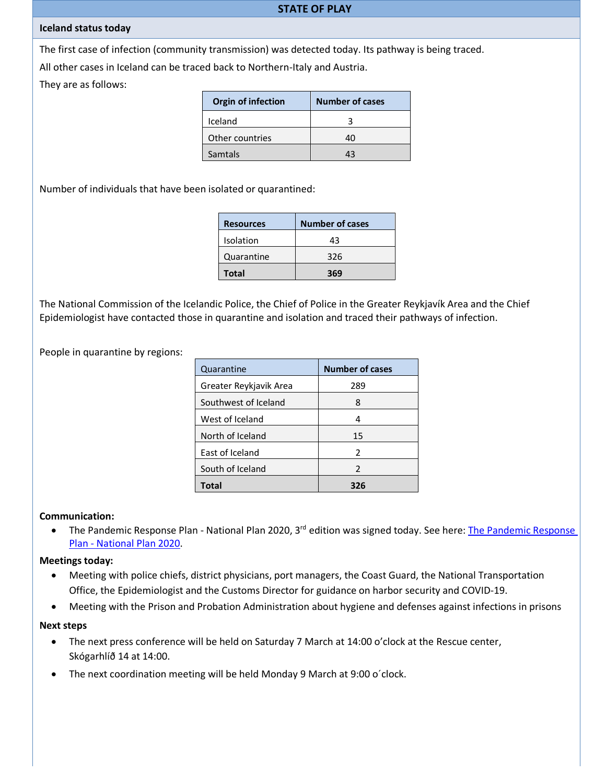#### **STATE OF PLAY**

## **Iceland status today**

The first case of infection (community transmission) was detected today. Its pathway is being traced.

All other cases in Iceland can be traced back to Northern-Italy and Austria.

They are as follows:

| <b>Orgin of infection</b> | <b>Number of cases</b> |
|---------------------------|------------------------|
| Iceland                   |                        |
| Other countries           | 40                     |
| <b>Samtals</b>            | 43                     |

Number of individuals that have been isolated or quarantined:

| <b>Resources</b> | <b>Number of cases</b> |
|------------------|------------------------|
| Isolation        | 43                     |
| Quarantine       | 326                    |
| <b>Total</b>     | 369                    |

The National Commission of the Icelandic Police, the Chief of Police in the Greater Reykjavík Area and the Chief Epidemiologist have contacted those in quarantine and isolation and traced their pathways of infection.

People in quarantine by regions:

| Quarantine             | <b>Number of cases</b> |
|------------------------|------------------------|
| Greater Reykjavik Area | 289                    |
| Southwest of Iceland   | 8                      |
| West of Iceland        | 4                      |
| North of Iceland       | 15                     |
| East of Iceland        | $\mathcal{P}$          |
| South of Iceland       | $\mathcal{P}$          |
| Total                  | 326                    |

## **Communication:**

• [The Pandemic Response](https://www.landlaeknir.is/servlet/file/store93/item29596/Vi%C3%B0brag%C3%B0s%C3%A1%C3%A6tlun%20heimsfaraldur%203.%20%C3%BAtg.%202020_HRN.pdf) Plan - National Plan 2020, 3<sup>rd</sup> edition was signed today. See here: The Pandemic Response Plan - [National Plan 2020.](https://www.landlaeknir.is/servlet/file/store93/item29596/Vi%C3%B0brag%C3%B0s%C3%A1%C3%A6tlun%20heimsfaraldur%203.%20%C3%BAtg.%202020_HRN.pdf)

## **Meetings today:**

- Meeting with police chiefs, district physicians, port managers, the Coast Guard, the National Transportation Office, the Epidemiologist and the Customs Director for guidance on harbor security and COVID-19.
- Meeting with the Prison and Probation Administration about hygiene and defenses against infections in prisons

## **Next steps**

- The next press conference will be held on Saturday 7 March at 14:00 o'clock at the Rescue center, Skógarhlíð 14 at 14:00.
- The next coordination meeting will be held Monday 9 March at 9:00 o´clock.